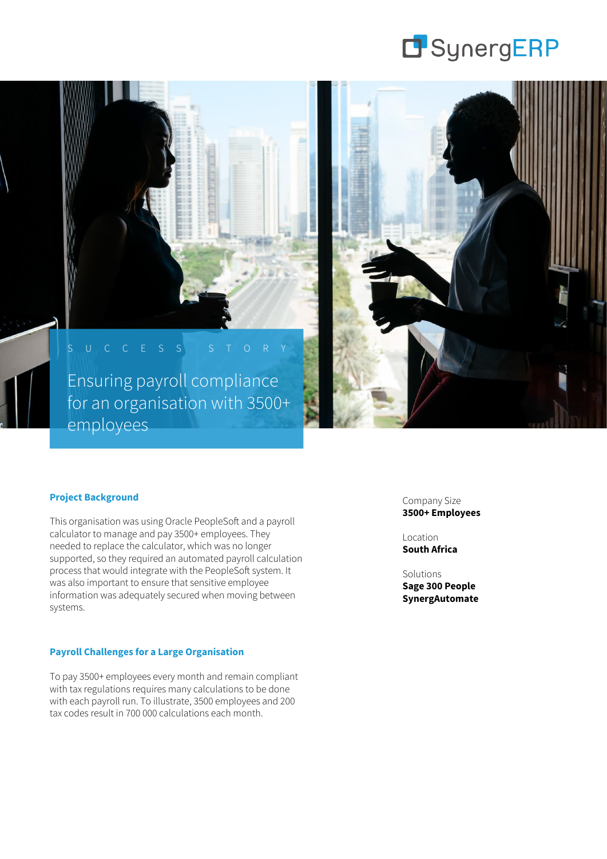

S U C C E S S S T O R Y Ensuring payroll compliance for an organisation with 3500+ employees



#### **Project Background**

This organisation was using Oracle PeopleSoft and a payroll calculator to manage and pay 3500+ employees. They needed to replace the calculator, which was no longer supported, so they required an automated payroll calculation process that would integrate with the PeopleSoft system. It was also important to ensure that sensitive employee information was adequately secured when moving between systems.

### **Payroll Challenges for a Large Organisation**

To pay 3500+ employees every month and remain compliant with tax regulations requires many calculations to be done with each payroll run. To illustrate, 3500 employees and 200 tax codes result in 700 000 calculations each month.

Company Size **3500+ Employees**

Location **South Africa**

## Solutions

**Sage 300 People SynergAutomate**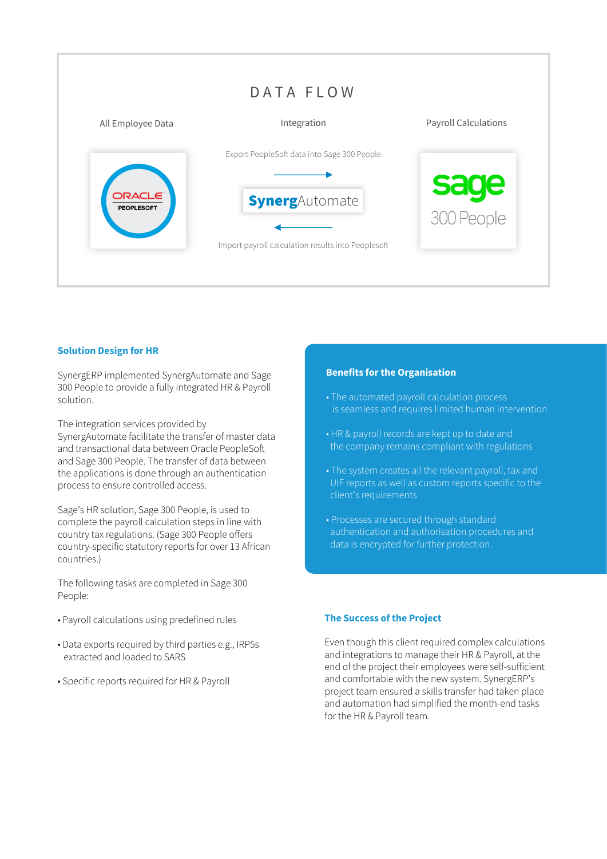

## **Solution Design for HR**

SynergERP implemented SynergAutomate and Sage 300 People to provide a fully integrated HR & Payroll solution.

The integration services provided by SynergAutomate facilitate the transfer of master data and transactional data between Oracle PeopleSoft and Sage 300 People. The transfer of data between the applications is done through an authentication

process to ensure controlled access.

Sage's HR solution, Sage 300 People, is used to complete the payroll calculation steps in line with country tax regulations. (Sage 300 People offers country-specific statutory reports for over 13 African countries.)

The following tasks are completed in Sage 300 People:

- Payroll calculations using predefined rules
- Data exports required by third parties e.g., IRP5s extracted and loaded to SARS
- Specific reports required for HR & Payroll

#### **Benefits for the Organisation**

- The automated payroll calculation process is seamless and requires limited human intervention
- HR & payroll records are kept up to date and the company remains compliant with regulations
- The system creates all the relevant payroll, tax and UIF reports as well as custom reports specific to the client's requirements
- Processes are secured through standard authentication and authorisation procedures and data is encrypted for further protection.

#### **The Success of the Project**

Even though this client required complex calculations and integrations to manage their HR & Payroll, at the end of the project their employees were self-sufficient and comfortable with the new system. SynergERP's project team ensured a skills transfer had taken place and automation had simplified the month-end tasks for the HR & Payroll team.